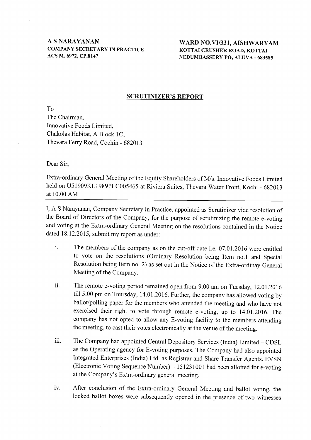A S NARAYANAN COMPANY SECRETARY IN PRACTICE ACS M. 6972.CP.8147

WARD NO.VI/331, AISHWARYAM KOTTAI CRUSHER ROAD, KOTTAI NEDUMBASSERY PO. ALUVA - 683585

#### SCRUTINIZER'S REPORT

To The Chairman, Innovative Foods Limited, Chakolas Habitat, A Block 1C, Thevara Ferry Road, Cochin - 682013

Dear Sir,

Extra-ordinary General Meeting of the Equity Shareholders of M/s. Innovative Foods Limited held on U51909KL1989PLC005465 at Riviera Suites, Thevara Water Front, Kochi - 692013 at 10.00 AM

I, A S Narayanan, Company Secretary in Practice, appointed as Scrutinizer vide resolution of the Board of Directors of the Company, for the purpose of scrutinizing the remote e-voting and voting at the Extra-ordinary General Meeting on the resolutions contained in the Notice dated 18.12.2015, submit my report as under:

- i. The members of the company as on the cut-off date i.e. 07.01.2016 were entitled to vote on the resolutions (Ordinary Resolution being Item no.l and Special Resolution being Item no.2) as set out in the Notice of the Extra-ordinay General Meeting of the Company.
- ii. The remote e-voting period remained open from 9.00 am on Tuesday, 12.01.2016 till 5.00 pm on Thursday, 14.01.2016. Further, the company has allowed voting by ballot/polling paper for the members who attended the meeting and who have not exercised their right to vote through remote e-voting, up to 14.01.2016. The company has not opted to allow any E-voting facility to the members attending the meeting, to cast their votes electronically at the venue of the meeting.
- iii. The Company had appointed Central Depository Services (India) Limited CDSL as the Operating agency for E-voting purposes. The Company had also appointed Integrated Enterprises (India) Ltd. as Registrar and Share Transfer Agents. EVSN (Electronic Voting Sequence Number)  $- 151231001$  had been allotted for e-voting at the Company's Extra-ordinary general meeting.
- iv. After conclusion of the Extra-ordinary General Meeting and ballot voting, the locked ballot boxes were subsequently opened in the presence of two witnesses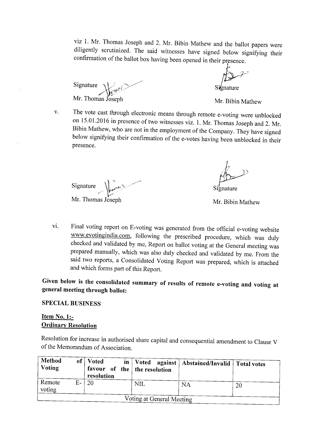viz 1. Mr. Thomas Joseph and,2. Mr. Bibin Mathew and the ballot papers were diligently scrutinized. The said witnesses have signed below signifying their

Signature  $\bigvee_{k \in \mathbb{N}^{d}} \bigvee$ Mr. Thomas Joseph

 $V_{\bullet}$ 

nature

Mr. Bibin Mathew

The vote cast through electronic means through remote e-voting were unblocked on 15.01 .2016 in presence of two witnesses viz. l. Mr. Thomas Joseph and 2. Mr. Bibin Mathew, who are not in the employment of the company. They have signed below signifying their confirmation of the e-votes having been unblocked in their presence.

Signature  $\left\{ \cdot \right\}$  $\sqrt{\frac{1}{2}}$ -

Mr. Thomas Joseph Mr. Bibin Mathew

Signature

vi. Final voting report on E-voting was generated from the official e-voting website www.evotingindia.com, following the prescribed procedure, which was duly checked and validated by me, Report on ballot voting at the General meeting was prepared manually, which was also duly checked and validated by me. From the said two reports, a Consolidated Voting Report was prepared, which is attached and which forms part of this Report.

Given below is the consolidated summary of results of remote e-voting and voting at general meeting through ballot:

## SPECIAL BUSINESS

## Item No. 1:- **Ordinary Resolution**

Resolution for increase in authorised share capital and consequential amendment to Clause V of the Memorandum of Association.

| Method<br>Voting | of <sub>1</sub> | <b>Voted</b><br>resolution | favour of the   the resolution | in   Voted against   Abstained/Invalid   Total votes |    |
|------------------|-----------------|----------------------------|--------------------------------|------------------------------------------------------|----|
| Remote<br>voting | $E-$            | -20                        | <b>NIL</b>                     | NA                                                   | 20 |
|                  |                 |                            | Voting at General Meeting      |                                                      |    |